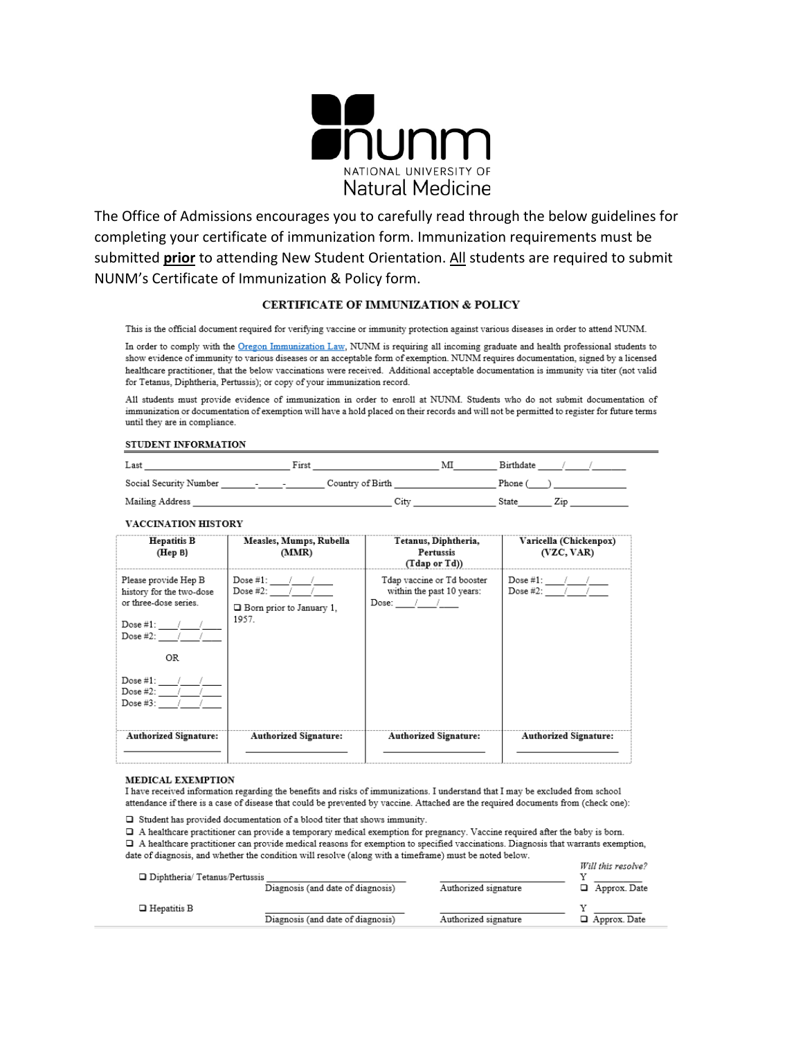

The Office of Admissions encourages you to carefully read through the below guidelines for completing your certificate of immunization form. Immunization requirements must be submitted prior to attending New Student Orientation. All students are required to submit NUNM's Certificate of Immunization & Policy form.

## CERTIFICATE OF IMMUNIZATION & POLICY

This is the official document required for verifying vaccine or immunity protection against various diseases in order to attend NUNM.

In order to comply with the Oregon Immunization Law, NUNM is requiring all incoming graduate and health professional students to show evidence of immunity to various diseases or an acceptable form of exemption. NUNM requires documentation, signed by a licensed healthcare practitioner, that the below vaccinations were received. Additional acceptable documentation is immunity via titer (not valid for Tetanus, Diphtheria, Pertussis); or copy of your immunization record.

All students must provide evidence of immunization in order to enroll at NUNM. Students who do not submit documentation of immunization or documentation of exemption will have a hold placed on their records and will not be permitted to register for future terms until they are in compliance.

#### STUDENT INFORMATION

| Last                   |                                   | First |                  |      | Мl | Birthdate |     |  |
|------------------------|-----------------------------------|-------|------------------|------|----|-----------|-----|--|
| Social Security Number | and the state of the state of the |       | Country of Birth |      |    | Phone (   |     |  |
| Mailing Address        |                                   |       |                  | City |    | State     | 21D |  |

#### VACCINATION HISTORY

| <b>Hepatitis B</b><br>(Hep B)                                                                                                  | Measles, Mumps, Rubella<br>(MMR)                                                       | Tetanus, Diphtheria,<br>Pertussis<br>(Tdap or Td))                     | Varicella (Chickenpox)<br>(VZC, VAR)          |
|--------------------------------------------------------------------------------------------------------------------------------|----------------------------------------------------------------------------------------|------------------------------------------------------------------------|-----------------------------------------------|
| Please provide Hep B<br>history for the two-dose<br>or three-dose series.<br>Dose #1: $\frac{1}{2}$ /<br>Dose $\#2$ : $\qquad$ | Dose #1: $\sqrt{ }$<br>Dose #2: $\sqrt{2}$<br>$\Box$ Born prior to January 1.<br>1957. | Tdap vaccine or Td booster<br>within the past 10 years:<br>Dose: $/$ / | Dose #1: $\sqrt{ }$<br>Dose #2: $\frac{1}{2}$ |
| OR.                                                                                                                            |                                                                                        |                                                                        |                                               |
| Dose $\#1$ : /<br>Dose $#2:$<br>Dose #3:                                                                                       |                                                                                        |                                                                        |                                               |
| <b>Authorized Signature:</b>                                                                                                   | <b>Authorized Signature:</b>                                                           | <b>Authorized Signature:</b>                                           | Authorized Signature:                         |

#### MEDICAL EXEMPTION

I have received information regarding the benefits and risks of immunizations. I understand that I may be excluded from school attendance if there is a case of disease that could be prevented by vaccine. Attached are the required documents from (check one):

 $\hfill\Box\;$  Student has provided documentation of a blood titer that shows immunity.

□ A healthcare practitioner can provide a temporary medical exemption for pregnancy. Vaccine required after the baby is born. □ A healthcare practitioner can provide medical reasons for exemption to specified vaccinations. Diagnosis that warrants exemption, date of diagnosis, and whether the condition will resolve (along with a timeframe) must be noted below.

| □ Diphtheria/ Tetanus/Pertussis | Diagnosis (and date of diagnosis) | Authorized signature | Will this resolve?<br>$\Box$ Approx. Date |
|---------------------------------|-----------------------------------|----------------------|-------------------------------------------|
| $\Box$ Hepatitis B              | Diagnosis (and date of diagnosis) | Authorized signature | $\Box$ Approx. Date                       |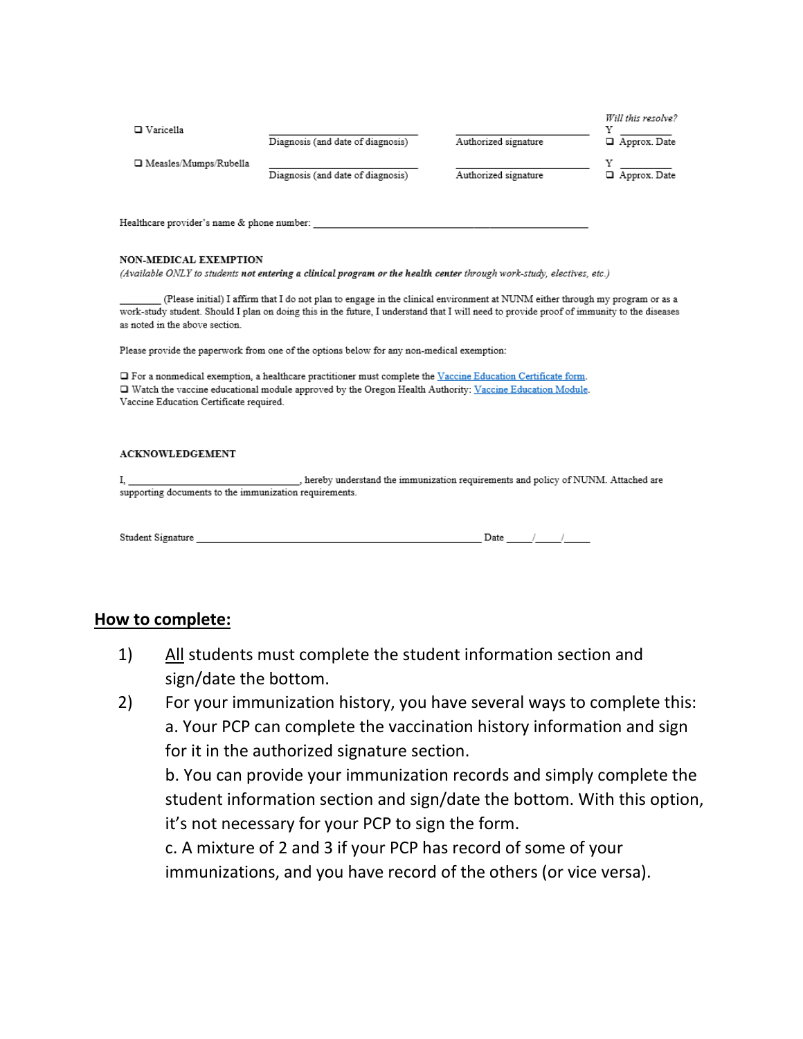| $\Box$ Varicella             | Diagnosis (and date of diagnosis) | Authorized signature | Will this resolve?<br>Approx. Date |
|------------------------------|-----------------------------------|----------------------|------------------------------------|
| $\Box$ Measles/Mumps/Rubella | Diagnosis (and date of diagnosis) | Authorized signature | $\Box$ Approx. Date                |

Healthcare provider's name & phone number:

### NON-MEDICAL EXEMPTION

(Available ONLY to students not entering a clinical program or the health center through work-study, electives, etc.)

(Please initial) I affirm that I do not plan to engage in the clinical environment at NUNM either through my program or as a work-study student. Should I plan on doing this in the future, I understand that I will need to provide proof of immunity to the diseases as noted in the above section.

Please provide the paperwork from one of the options below for any non-medical exemption:

□ For a nonmedical exemption, a healthcare practitioner must complete the Vaccine Education Certificate form. Watch the vaccine educational module approved by the Oregon Health Authority: Vaccine Education Module. Vaccine Education Certificate required.

### **ACKNOWLEDGEMENT**

hereby understand the immunization requirements and policy of NUNM. Attached are L. supporting documents to the immunization requirements.

## **How to complete:**

- 1) All students must complete the student information section and sign/date the bottom.
- 2) For your immunization history, you have several ways to complete this: a. Your PCP can complete the vaccination history information and sign for it in the authorized signature section.

b. You can provide your immunization records and simply complete the student information section and sign/date the bottom. With this option, it's not necessary for your PCP to sign the form.

c. A mixture of 2 and 3 if your PCP has record of some of your immunizations, and you have record of the others (or vice versa).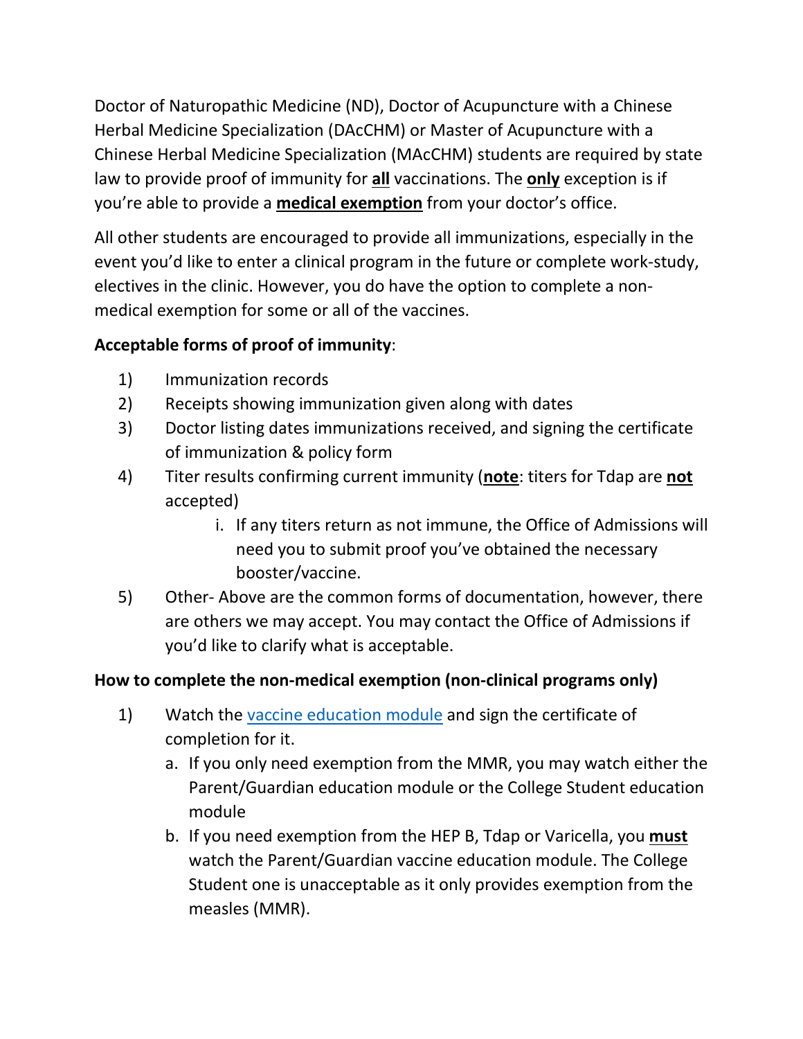Doctor of Naturopathic Medicine (ND), Doctor of Acupuncture with a Chinese Herbal Medicine Specialization (DAcCHM) or Master of Acupuncture with a Chinese Herbal Medicine Specialization (MAcCHM) students are required by state law to provide proof of immunity for **all** vaccinations. The **only** exception is if you're able to provide a **medical exemption** from your doctor's office.

All other students are encouraged to provide all immunizations, especially in the event you'd like to enter a clinical program in the future or complete work-study, electives in the clinic. However, you do have the option to complete a nonmedical exemption for some or all of the vaccines.

# **Acceptable forms of proof of immunity**:

- 1) Immunization records
- 2) Receipts showing immunization given along with dates
- 3) Doctor listing dates immunizations received, and signing the certificate of immunization & policy form
- 4) Titer results confirming current immunity (**note**: titers for Tdap are **not** accepted)
	- i. If any titers return as not immune, the Office of Admissions will need you to submit proof you've obtained the necessary booster/vaccine.
- 5) Other- Above are the common forms of documentation, however, there are others we may accept. You may contact the Office of Admissions if you'd like to clarify what is acceptable.

## **How to complete the non-medical exemption (non-clinical programs only)**

- 1) Watch the [vaccine education module](https://www.oregon.gov/OHA/PH/PreventionWellness/VaccinesImmunization/GettingImmunized/Pages/non-medical-exemption.aspx) and sign the certificate of completion for it.
	- a. If you only need exemption from the MMR, you may watch either the Parent/Guardian education module or the College Student education module
	- b. If you need exemption from the HEP B, Tdap or Varicella, you **must** watch the Parent/Guardian vaccine education module. The College Student one is unacceptable as it only provides exemption from the measles (MMR).